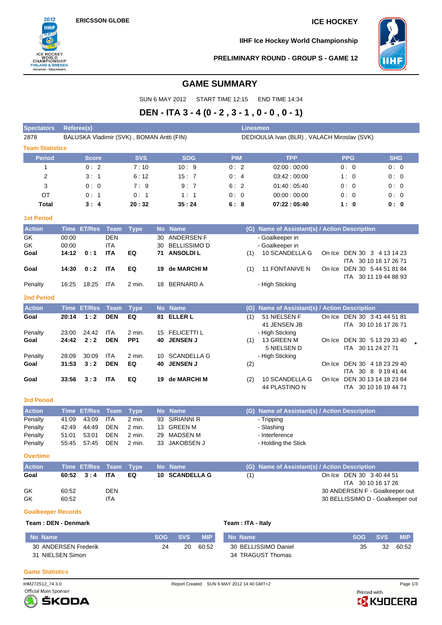

**IIHF Ice Hockey World Championship**



### **PRELIMINARY ROUND - GROUP S - GAME 12**

# **GAME SUMMARY**

SUN 6 MAY 2012 START TIME 12:15 END TIME 14:34

# **DEN - ITA 3 - 4 (0 - 2 , 3 - 1 , 0 - 0 , 0 - 1)**

| <b>Spectators</b>      | <b>Referee(s)</b> |               |                          |                                           |    |                                   |                      |     | <b>Linesmen</b>                                  |        |                                                      |            |  |
|------------------------|-------------------|---------------|--------------------------|-------------------------------------------|----|-----------------------------------|----------------------|-----|--------------------------------------------------|--------|------------------------------------------------------|------------|--|
| 2878                   |                   |               |                          | BALUSKA Vladimir (SVK), BOMAN Antti (FIN) |    |                                   |                      |     | DEDIOULIA Ivan (BLR), VALACH Miroslav (SVK)      |        |                                                      |            |  |
| <b>Team Statistics</b> |                   |               |                          |                                           |    |                                   |                      |     |                                                  |        |                                                      |            |  |
| <b>Period</b>          |                   | <b>Score</b>  |                          | <b>SVS</b>                                |    | <b>SOG</b>                        | <b>PIM</b>           |     | <b>TPP</b>                                       |        | <b>PPG</b>                                           | <b>SHG</b> |  |
| 1                      |                   | 0:2           |                          | 7:10                                      |    | 10:9                              | 0:2                  |     | 02:00:00:00                                      |        | 0: 0                                                 | 0:0        |  |
| $\overline{2}$         |                   | 3:1           |                          | 6:12                                      |    | 15:7                              | 0:4                  |     | 03:42:00:00                                      |        | 1:0                                                  | 0:0        |  |
| 3                      |                   | 0:0           |                          | 7:9                                       |    | 9:7                               | 6:2                  |     | 01:40:05:40                                      |        | 0:0                                                  | 0:0        |  |
| OT                     |                   | 0:1           |                          | 0:1                                       |    | 1:1                               | 0:<br>$\overline{0}$ |     | 00:00:00:00                                      |        | 0:0                                                  | 0:0        |  |
| <b>Total</b>           |                   | 3:4           |                          | 20:32                                     |    | 35:24                             | 6:8                  |     | 07:22:05:40                                      |        | 1:0                                                  | 0:0        |  |
| <b>1st Period</b>      |                   |               |                          |                                           |    |                                   |                      |     |                                                  |        |                                                      |            |  |
| <b>Action</b>          | <b>Time</b>       | ET/Res        | <b>Team</b>              | <b>Type</b>                               |    | No Name                           |                      | (G) | Name of Assistant(s) / Action Description        |        |                                                      |            |  |
| $\overline{GK}$        | 00:00             |               | <b>DEN</b>               |                                           | 30 | ANDERSEN F                        |                      |     | - Goalkeeper in                                  |        |                                                      |            |  |
| GK                     | 00:00             |               | <b>ITA</b>               |                                           | 30 | <b>BELLISSIMO D</b>               |                      |     | - Goalkeeper in                                  |        |                                                      |            |  |
| Goal                   | 14:12             | 0:1           | <b>ITA</b>               | EQ                                        | 71 | <b>ANSOLDIL</b>                   |                      | (1) | 10 SCANDELLA G                                   |        | On Ice DEN 30 3 4 13 14 23                           |            |  |
| Goal                   | 14:30             | 0:2           | <b>ITA</b>               | EQ                                        | 19 | de MARCHI M                       |                      | (1) | <b>11 FONTANIVE N</b>                            | On Ice | ITA 30 10 16 17 26 71<br>DEN 30 5 44 51 81 84        |            |  |
|                        |                   |               |                          |                                           |    |                                   |                      |     |                                                  |        | ITA 30 11 19 44 88 93                                |            |  |
| Penalty                | 16:25             | 18:25         | <b>ITA</b>               | 2 min.                                    | 18 | <b>BERNARD A</b>                  |                      |     | - High Sticking                                  |        |                                                      |            |  |
| <b>2nd Period</b>      |                   |               |                          |                                           |    |                                   |                      |     |                                                  |        |                                                      |            |  |
| <b>Action</b>          |                   | Time ET/Res   | <b>Team</b>              | <b>Type</b>                               |    | No Name                           |                      | (G) | Name of Assistant(s) / Action Description        |        |                                                      |            |  |
| Goal                   | 20:14             | 1:2           | <b>DEN</b>               | EQ                                        | 81 | <b>ELLER L</b>                    |                      | (1) | 51 NIELSEN F                                     |        | On Ice DEN 30 3 41 44 51 81                          |            |  |
|                        |                   |               |                          |                                           |    |                                   |                      |     | 41 JENSEN JB                                     |        | ITA 30 10 16 17 26 71                                |            |  |
| Penalty<br>Goal        | 23:00<br>24:42    | 24:42<br>2:2  | <b>ITA</b><br><b>DEN</b> | 2 min.<br>PP <sub>1</sub>                 | 40 | 15 FELICETTI L<br><b>JENSEN J</b> |                      | (1) | - High Sticking<br>13 GREEN M                    | On Ice | DEN 30 5 13 29 33 40                                 |            |  |
|                        |                   |               |                          |                                           |    |                                   |                      |     | 5 NIELSEN D                                      |        | ITA 30 11 24 27 71                                   |            |  |
| Penalty                | 28:09             | 30:09         | <b>ITA</b>               | 2 min.                                    | 10 | <b>SCANDELLA G</b>                |                      |     | - High Sticking                                  |        |                                                      |            |  |
| Goal                   | 31:53             | 3:2           | <b>DEN</b>               | EQ                                        | 40 | <b>JENSEN J</b>                   |                      | (2) |                                                  | On Ice | DEN 30 4 18 23 29 40                                 |            |  |
|                        |                   |               |                          |                                           |    |                                   |                      |     |                                                  |        | ITA 30 8 9 19 41 44                                  |            |  |
| Goal                   | 33:56             | 3:3           | <b>ITA</b>               | EQ                                        | 19 | de MARCHI M                       |                      | (2) | 10 SCANDELLA G                                   | On Ice | DEN 30 13 14 18 23 84                                |            |  |
|                        |                   |               |                          |                                           |    |                                   |                      |     | 44 PLASTINO N                                    |        | ITA 30 10 16 19 44 71                                |            |  |
| <b>3rd Period</b>      |                   |               |                          |                                           |    |                                   |                      |     |                                                  |        |                                                      |            |  |
| <b>Action</b>          | <b>Time</b>       | <b>ET/Res</b> | <b>Team</b>              | <b>Type</b>                               |    | No Name                           |                      | (G) | Name of Assistant(s) / Action Description        |        |                                                      |            |  |
| Penalty                | 41:09             | 43:09         | <b>ITA</b>               | 2 min.                                    | 93 | <b>SIRIANNI R</b>                 |                      |     | - Tripping                                       |        |                                                      |            |  |
| Penalty                | 42:49             | 44:49         | <b>DEN</b>               | 2 min.                                    |    | 13 GREEN M                        |                      |     | - Slashing                                       |        |                                                      |            |  |
| Penalty                | 51:01             | 53:01         | <b>DEN</b>               | 2 min.                                    | 29 | <b>MADSEN M</b>                   |                      |     | - Interference                                   |        |                                                      |            |  |
| Penalty                | 55:45             | 57:45         | <b>DEN</b>               | 2 min.                                    | 33 | JAKOBSEN J                        |                      |     | - Holding the Stick                              |        |                                                      |            |  |
| <b>Overtime</b>        |                   |               |                          |                                           |    |                                   |                      |     |                                                  |        |                                                      |            |  |
| <b>Action</b>          | <b>Time</b>       | <b>ET/Res</b> | <b>Team</b>              | <b>Type</b>                               |    | No Name                           |                      | (G) | <b>Name of Assistant(s) / Action Description</b> |        |                                                      |            |  |
| Goal                   | 60:52             | 3:4           | <b>ITA</b>               | EQ                                        | 10 | <b>SCANDELLA G</b>                |                      | (1) |                                                  |        | On Ice DEN 30 3 40 44 51                             |            |  |
| GK                     | 60:52             |               | <b>DEN</b>               |                                           |    |                                   |                      |     |                                                  |        | ITA 30 10 16 17 26<br>30 ANDERSEN F - Goalkeeper out |            |  |

GK 60:52 ITA 60:52 CHA 60:52 ITA

# **Goalkeeper Records**

**Team : DEN - Denmark Team : ITA - Italy**

| No Name              | <b>SOG</b> | <b>SVS</b> | <b>MIP</b> | No Name              | SOG - | <b>SVS</b> | <b>MIP</b> |
|----------------------|------------|------------|------------|----------------------|-------|------------|------------|
| 30 ANDERSEN Frederik | 24         | 20         | 60:52      | 30 BELLISSIMO Daniel | 35    | 32         | 60:52      |
| 31 NIELSEN Simon     |            |            |            | 34 TRAGUST Thomas    |       |            |            |

### **Game Statistics**

IHM272S12\_74 3.0 Report Created SUN 6 MAY 2012 14:40 GMT+2 Page 1/3





Printed with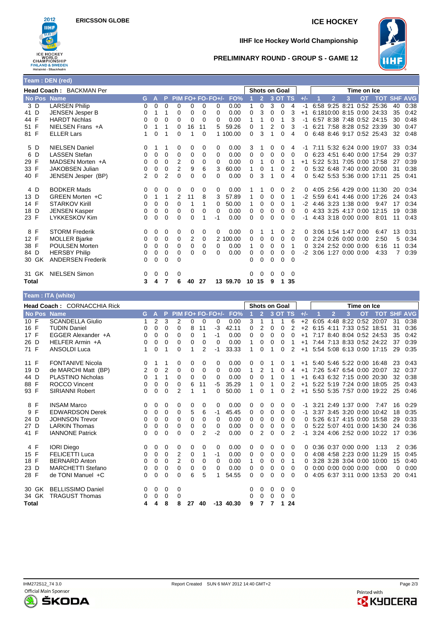

# **IIHF Ice Hockey World Championship**



## **PRELIMINARY ROUND - GROUP S - GAME 12**

|                    | Team: DEN (red)          |          |                |          |                |          |          |                   |          |             |                      |          |          |          |       |                     |                     |   |                     |                           |    |      |
|--------------------|--------------------------|----------|----------------|----------|----------------|----------|----------|-------------------|----------|-------------|----------------------|----------|----------|----------|-------|---------------------|---------------------|---|---------------------|---------------------------|----|------|
|                    | Head Coach: BACKMAN Per  |          |                |          |                |          |          |                   |          |             | <b>Shots on Goal</b> |          |          |          |       |                     |                     |   | Time on Ice         |                           |    |      |
| <b>No Pos Name</b> |                          | G        | $\overline{A}$ | P        |                |          |          | PIM FO+ FO- FO+/- | FO%      |             |                      |          | 3 OT TS  |          | $+/-$ |                     | 2                   | 3 | <b>OT</b>           | <b>TOT SHF AVG</b>        |    |      |
| 3 D                | <b>LARSEN Philip</b>     | $\Omega$ | 0              | 0        | $\Omega$       | 0        | $\Omega$ | $\Omega$          | 0.00     | 1           | $\Omega$             | 3        | $\Omega$ | 4        | -1    |                     | 6:58 9:25 8:21      |   |                     | 0:52 25:36                | 40 | 0:38 |
| 41 D               | <b>JENSEN Jesper B</b>   | 0        |                |          | $\Omega$       | $\Omega$ | $\Omega$ | $\Omega$          | 0.00     | 0           | 3                    | 0        | 0        | 3        | $+1$  |                     |                     |   |                     | 6:1810:00 8:15 0:00 24:33 | 35 | 0:42 |
| 44 F               | <b>HARDT Nichlas</b>     | 0        | 0              | $\Omega$ | $\Omega$       | $\Omega$ | $\Omega$ | $\Omega$          | 0.00     | 1           |                      | 0        |          | 3        | -1    |                     |                     |   |                     | 6:57 8:38 7:48 0:52 24:15 | 30 | 0.48 |
| 51 F               | NIELSEN Frans +A         | 0        | 1              |          | 0              | 16       | 11       | 5                 | 59.26    | 0           |                      | 2        | 0        | 3        |       |                     |                     |   |                     | 6:21 7:58 8:28 0:52 23:39 | 30 | 0:47 |
| 81 F               | <b>ELLER Lars</b>        |          | 0              |          | $\Omega$       |          | $\Omega$ | 1                 | 100.00   | $\Omega$    | 3                    |          | 0        | 4        | 0     |                     |                     |   |                     | 6:48 8:46 9:17 0:52 25:43 | 32 | 0:48 |
| 5 D                | <b>NIELSEN Daniel</b>    | 0        |                |          | 0              | 0        | 0        | 0                 | 0.00     | 3           |                      | 0        | 0        | 4        |       |                     |                     |   |                     | 7:11 5:32 6:24 0:00 19:07 | 33 | 0:34 |
| D<br>6             | <b>LASSEN Stefan</b>     | $\Omega$ | 0              | 0        | 0              | 0        | 0        | 0                 | 0.00     | 0           | 0                    | 0        | 0        | $\Omega$ |       |                     |                     |   |                     | 6:23 4:51 6:40 0:00 17:54 | 29 | 0:37 |
| 29 F               | MADSEN Morten +A         | 0        | 0              | $\Omega$ | 2              | $\Omega$ | $\Omega$ | $\Omega$          | 0.00     | $\Omega$    |                      | 0        | 0        |          | $+1$  |                     |                     |   |                     | 5:22 5:31 7:05 0:00 17:58 | 27 | 0:39 |
| 33 F               | <b>JAKOBSEN Julian</b>   | 0        | 0              | 0        | 2              | 9        | 6        | 3                 | 60.00    | 1           | 0                    |          | 0        | 2        |       |                     |                     |   |                     | 5:32 6:48 7:40 0:00 20:00 | 31 | 0:38 |
| 40 F               | JENSEN Jesper (BP)       | 2        | 0              | 2        | $\Omega$       | $\Omega$ | 0        | $\Omega$          | 0.00     | 0           | 3                    |          | 0        | 4        | ∩.    |                     |                     |   |                     | 5:42 5:53 5:36 0:00 17:11 | 25 | 0:41 |
| 4 D                | <b>BODKER Mads</b>       | 0        | 0              | 0        | 0              | 0        | 0        | 0                 | 0.00     |             |                      | 0        | 0        | 2        |       |                     |                     |   |                     | 4:05 2:56 4:29 0:00 11:30 | 20 | 0:34 |
| 13 D               | GREEN Morten +C          | $\Omega$ |                | 1        | $\overline{2}$ | 11       | 8        | 3                 | 57.89    | 1           | 0                    | 0        | 0        |          | -2    |                     |                     |   |                     | 5.59 6.41 4.46 0.00 17:26 | 24 | 0.43 |
| 14 F               | <b>STARKOV Kirill</b>    | 0        | 0              | $\Omega$ | 0              | 1        |          | $\Omega$          | 50.00    | 1           | 0                    | 0        | 0        |          |       | 4:46 3:23 1:38 0:00 |                     |   |                     | 9:47                      | 17 | 0:34 |
| 18 D               | <b>JENSEN Kasper</b>     | 0        | 0              | 0        | $\Omega$       | $\Omega$ | $\Omega$ | $\Omega$          | 0.00     | 0           | 0                    | 0        | 0        | 0        |       |                     |                     |   | 4:33 3:25 4:17 0:00 | 12:15                     | 19 | 0:38 |
| 23 F               | <b>LYKKESKOV Kim</b>     | 0        | 0              | $\Omega$ | $\Omega$       | $\Omega$ |          | -1                | 0.00     | 0           | $\Omega$             | 0        | 0        | $\Omega$ | -1    |                     |                     |   | 4:43 3:18 0:00 0:00 | 8:01                      | 11 | 0:43 |
| 8 F                | <b>STORM Frederik</b>    | $\Omega$ | 0              | 0        | 0              | 0        | $\Omega$ | $\Omega$          | 0.00     | 0           |                      |          | 0        | 2        |       | 3:06 1:54 1:47 0:00 |                     |   |                     | 6:47                      | 13 | 0:31 |
| 12 F               | <b>MOLLER Bjarke</b>     | 0        | 0              | 0        | 0              | 2        | $\Omega$ |                   | 2 100.00 | 0           | 0                    | 0        | 0        | $\Omega$ | 0     |                     | 2:24 0:26 0:00 0:00 |   |                     | 2:50                      | 5  | 0:34 |
| 38 F               | <b>POULSEN Morten</b>    | 0        | 0              | $\Omega$ | $\Omega$       | $\Omega$ | 0        | 0                 | 0.00     | 1           | 0                    | 0        | 0        |          |       | 3:24 2:52 0:00 0:00 |                     |   |                     | 6:16                      | 11 | 0:34 |
| 84 D               | <b>HERSBY Philip</b>     | 0        | 0              | 0        | $\Omega$       | 0        | 0        | 0                 | 0.00     | $\mathbf 0$ | 0                    | 0        | 0        | 0        | -2    | 3:06 1:27 0:00 0:00 |                     |   |                     | 4:33                      | 7  | 0:39 |
| 30 GK              | <b>ANDERSEN Frederik</b> | 0        | 0              | $\Omega$ | $\Omega$       |          |          |                   |          | 0           | 0                    | $\Omega$ | 0        | $\Omega$ |       |                     |                     |   |                     |                           |    |      |
| 31 GK              | <b>NIELSEN Simon</b>     | 0        | 0              | 0        | 0              |          |          |                   |          | 0           | 0                    | 0        | 0        | 0        |       |                     |                     |   |                     |                           |    |      |
| Total              |                          | 3        | 4              |          | 6              | 40       | 27       |                   | 13 59.70 | 10          | 15                   | 9        | 1        | 35       |       |                     |                     |   |                     |                           |    |      |

|                             | Team: ITA (white)        |   |          |                |                |    |          |                          |             |                      |                |          |          |          |       |             |    |                     |           |                           |          |                |
|-----------------------------|--------------------------|---|----------|----------------|----------------|----|----------|--------------------------|-------------|----------------------|----------------|----------|----------|----------|-------|-------------|----|---------------------|-----------|---------------------------|----------|----------------|
| Head Coach: CORNACCHIA Rick |                          |   |          |                |                |    |          |                          |             | <b>Shots on Goal</b> |                |          |          |          |       | Time on Ice |    |                     |           |                           |          |                |
| No Pos Name                 |                          | G | Α        |                |                |    |          | <b>PIM FO+ FO- FO+/-</b> | FO%         |                      | $\overline{2}$ |          | 3 OT TS  |          | $+/-$ |             | 12 | 3                   | <b>OT</b> | <b>TOT</b>                |          | <b>SHF AVG</b> |
| 10 F                        | <b>SCANDELLA Giulio</b>  | 1 | 2        | 3              | 2              | 0  | $\Omega$ | 0                        | 0.00        | 3                    | 1              | 1        | 1        | 6        | $+2$  |             |    |                     |           | 6:05 4:48 8:22 0:52 20:07 | 31       | 0:38           |
| 16 F                        | <b>TUDIN Daniel</b>      | 0 | 0        | 0              | 0              | 8  | 11       | -3                       | 42.11       | 0                    | $\overline{2}$ | $\Omega$ | 0        | 2        | $+2$  |             |    |                     |           | 6:15 4:11 7:33 0:52 18:51 | 31       | 0:36           |
| 17 F                        | EGGER Alexander +A       | 0 | 0        | 0              | 0              | 0  | 1        | -1                       | 0.00        | 0                    | 0              | 0        | 0        | 0        | $+1$  |             |    |                     |           | 7:17 8:40 8:04 0:52 24:53 | 35       | 0:42           |
| 26 D                        | HELFER Armin +A          | 0 | 0        | 0              | $\mathbf 0$    | 0  | 0        | 0                        | 0.00        |                      | 0              | 0        | 0        |          | $+1$  |             |    |                     |           | 7:44 7:13 8:33 0:52 24:22 | 37       | 0:39           |
| 71 F                        | <b>ANSOLDI Luca</b>      | 1 | 0        | 1              | 0              | 1  | 2        | -1                       | 33.33       |                      | $\Omega$       |          | 0        | 2        | $+1$  |             |    |                     |           | 5:54 5:08 6:13 0:00 17:15 | 29       | 0:35           |
| 11 F                        | <b>FONTANIVE Nicola</b>  | 0 |          | 1              | 0              | 0  | 0        | 0                        | 0.00        | 0                    | 0              |          | 0        |          | $+1$  |             |    |                     |           | 5:40 5:46 5:22 0:00 16:48 | 23       | 0.43           |
| 19 D                        | de MARCHI Matt (BP)      | 2 | 0        | $\overline{2}$ | $\mathbf 0$    | 0  | 0        | 0                        | 0.00        | 1                    | 2              |          | 0        | 4        | $+1$  |             |    |                     |           | 7:26 5:47 6:54 0:00 20:07 | 32       | 0:37           |
| 44 D                        | <b>PLASTINO Nicholas</b> | 0 | 1        | 1              | $\mathbf 0$    | 0  | 0        | 0                        | 0.00        | 0                    | 0              |          | 0        |          | $+1$  |             |    | 6:43 6:32 7:15 0:00 |           | 20:30                     | 32       | 0:38           |
| 88 F                        | <b>ROCCO Vincent</b>     | 0 | 0        | 0              | 0              | 6  | 11       | -5                       | 35.29       |                      | 0              |          | 0        | 2        | $+1$  |             |    | 5:22 5:19 7:24 0:00 |           | 18:05                     | 25       | 0:43           |
| 93 F                        | <b>SIRIANNI Robert</b>   | 0 | $\Omega$ | $\Omega$       | 2              |    | 1        | 0                        | 50.00       |                      | $\Omega$       |          | 0        | 2        | $+1$  |             |    | 5:50 5:35 7:57 0:00 |           | 19:22                     | 25       | 0:46           |
| 8 F                         | <b>INSAM Marco</b>       | 0 | 0        | 0              | 0              | 0  | 0        | 0                        | 0.00        | 0                    | 0              | 0        | 0        | 0        | -1    |             |    | 3:21 2:49 1:37 0:00 |           | 7:47                      | 16       | 0:29           |
| F<br>9                      | <b>EDWARDSON Derek</b>   | 0 | 0        | 0              | 0              | 5  | 6        | -1                       | 45.45       | 0                    | 0              | 0        | 0        | 0        | -1    |             |    | 3:37 3:45 3:20 0:00 |           | 10:42                     | 18       | 0:35           |
| 24 D                        | <b>JOHNSON Trevor</b>    | 0 | 0        | 0              | 0              | 0  | 0        | 0                        | 0.00        | 0                    | 0              | 0        | 0        | 0        | 0     |             |    |                     |           | 5:26 6:17 4:15 0:00 15:58 | 29       | 0:33           |
| 27 D                        | <b>LARKIN Thomas</b>     | 0 | 0        | 0              | 0              | 0  | 0        | 0                        | 0.00        | 0                    | 0              | 0        | 0        | 0        | 0     |             |    | 5:22 5:07 4:01 0:00 |           | 14:30                     | 24       | 0:36           |
| 41 F                        | <b>IANNONE Patrick</b>   | 0 | 0        | $\mathbf 0$    | 0              | 0  | 2        | $-2$                     | 0.00        | $\Omega$             | 2              | $\Omega$ | $\Omega$ | 2        | -1    |             |    |                     |           | 3:24 4:06 2:52 0:00 10:22 | 17       | 0:36           |
| 4 F                         | <b>IORI</b> Diego        | 0 | 0        | 0              | 0              | 0  | 0        | 0                        | 0.00        | 0                    | 0              | 0        | 0        | 0        | 0     |             |    | 0:36 0:37 0:00 0:00 |           | 1:13                      | 2        | 0:36           |
| 15 F                        | <b>FELICETTI Luca</b>    | 0 | 0        | 0              | 2              | 0  | 1        | -1                       | 0.00        | 0                    | 0              | 0        | 0        | 0        | 0     |             |    | 4:08 4:58 2:23 0:00 |           | 11:29                     | 15       | 0:45           |
| 18 F                        | <b>BERNARD Anton</b>     | 0 | 0        | 0              | $\overline{2}$ | 0  | 0        | 0                        | 0.00        | 1                    | 0              | 0        | 0        | 1        | 0     |             |    | 3:28 3:28 3:04 0:00 |           | 10:00                     | 15       | 0:40           |
| 23 D                        | <b>MARCHETTI Stefano</b> | 0 | 0        | 0              | $\Omega$       | 0  | 0        | 0                        | 0.00        | 0                    | 0              | 0        | 0        | 0        | 0     |             |    | 0:00 0:00 0:00 0:00 |           | 0:00                      | $\Omega$ | 0:00           |
| 28 F                        | de TONI Manuel +C        | 0 | 0        | 0              | 0              | 6  | 5        |                          | 54.55       | 0                    | 0              | 0        | 0        | $\Omega$ | 0     |             |    | 4:05 6:37 3:11 0:00 |           | 13:53                     | 20       | 0:41           |
| 30 GK                       | <b>BELLISSIMO Daniel</b> | 0 | 0        | 0              | 0              |    |          |                          |             | 0                    | 0              | 0        | 0        | 0        |       |             |    |                     |           |                           |          |                |
| 34 GK                       | <b>TRAGUST Thomas</b>    | 0 | 0        | 0              | 0              |    |          |                          |             | 0                    | 0              | $\Omega$ | 0        | 0        |       |             |    |                     |           |                           |          |                |
| <b>Total</b>                |                          | 4 | 4        | 8              | 8              | 27 | 40       |                          | $-13$ 40.30 | 9                    | 7              | 7        | 1        | 24       |       |             |    |                     |           |                           |          |                |